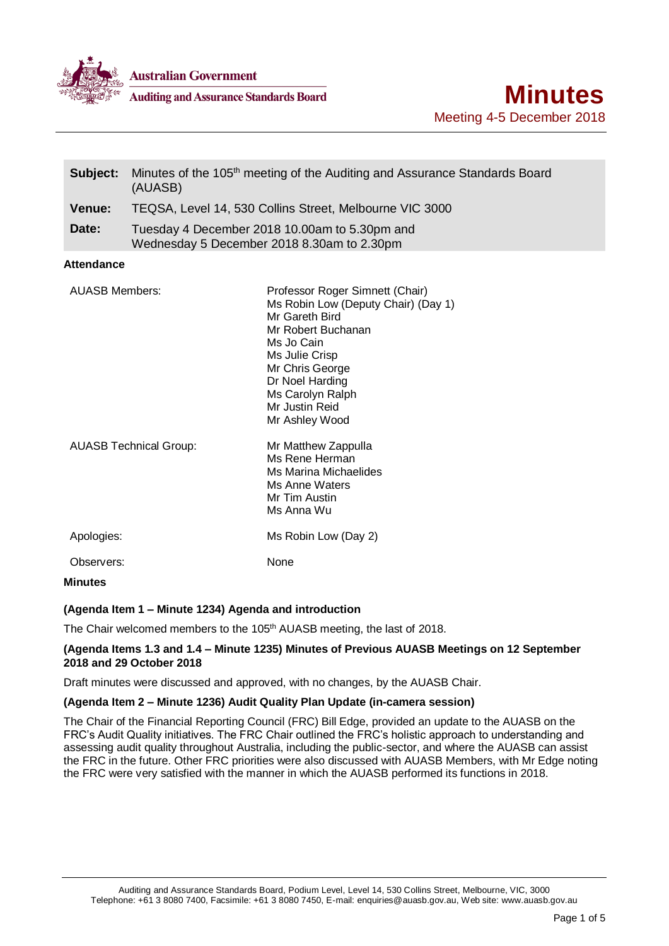

**Auditing and Assurance Standards Board** 

| Subject:                      | Minutes of the 105 <sup>th</sup> meeting of the Auditing and Assurance Standards Board<br>(AUASB) |                                                                                                                                                                                                                                              |
|-------------------------------|---------------------------------------------------------------------------------------------------|----------------------------------------------------------------------------------------------------------------------------------------------------------------------------------------------------------------------------------------------|
| <b>Venue:</b>                 | TEQSA, Level 14, 530 Collins Street, Melbourne VIC 3000                                           |                                                                                                                                                                                                                                              |
| Date:                         |                                                                                                   | Tuesday 4 December 2018 10.00am to 5.30pm and<br>Wednesday 5 December 2018 8.30am to 2.30pm                                                                                                                                                  |
| <b>Attendance</b>             |                                                                                                   |                                                                                                                                                                                                                                              |
| <b>AUASB Members:</b>         |                                                                                                   | Professor Roger Simnett (Chair)<br>Ms Robin Low (Deputy Chair) (Day 1)<br>Mr Gareth Bird<br>Mr Robert Buchanan<br>Ms Jo Cain<br>Ms Julie Crisp<br>Mr Chris George<br>Dr Noel Harding<br>Ms Carolyn Ralph<br>Mr Justin Reid<br>Mr Ashley Wood |
| <b>AUASB Technical Group:</b> |                                                                                                   | Mr Matthew Zappulla<br>Ms Rene Herman<br><b>Ms Marina Michaelides</b><br>Ms Anne Waters<br>Mr Tim Austin<br>Ms Anna Wu                                                                                                                       |
| Apologies:                    |                                                                                                   | Ms Robin Low (Day 2)                                                                                                                                                                                                                         |
| Observers:                    |                                                                                                   | None                                                                                                                                                                                                                                         |
| <b>Minutes</b>                |                                                                                                   |                                                                                                                                                                                                                                              |

# **(Agenda Item 1 – Minute 1234) Agenda and introduction**

The Chair welcomed members to the 105<sup>th</sup> AUASB meeting, the last of 2018.

## **(Agenda Items 1.3 and 1.4 – Minute 1235) Minutes of Previous AUASB Meetings on 12 September 2018 and 29 October 2018**

Draft minutes were discussed and approved, with no changes, by the AUASB Chair.

# **(Agenda Item 2 – Minute 1236) Audit Quality Plan Update (in-camera session)**

The Chair of the Financial Reporting Council (FRC) Bill Edge, provided an update to the AUASB on the FRC's Audit Quality initiatives. The FRC Chair outlined the FRC's holistic approach to understanding and assessing audit quality throughout Australia, including the public-sector, and where the AUASB can assist the FRC in the future. Other FRC priorities were also discussed with AUASB Members, with Mr Edge noting the FRC were very satisfied with the manner in which the AUASB performed its functions in 2018.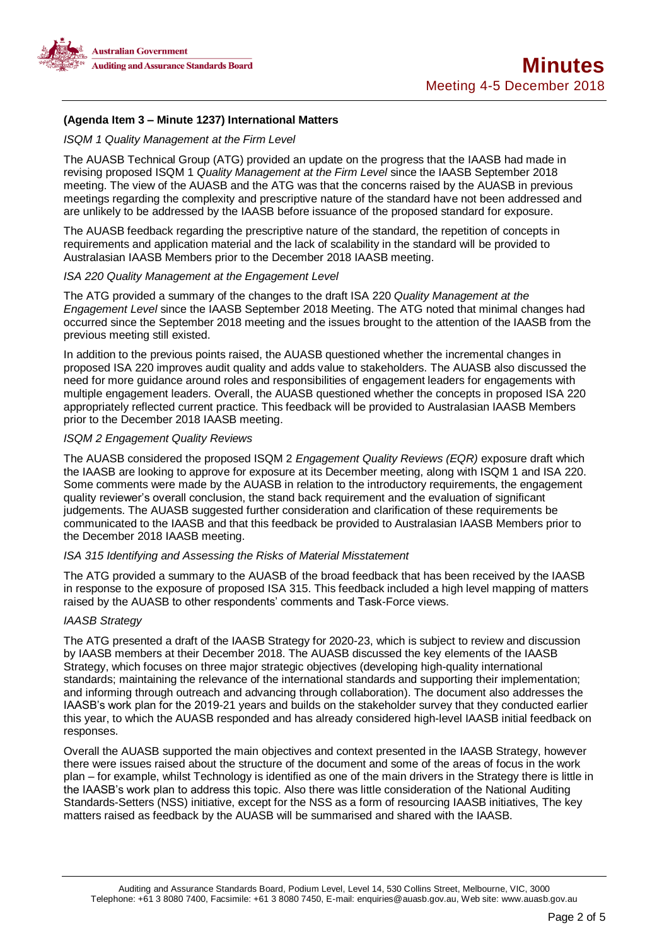

# **(Agenda Item 3 – Minute 1237) International Matters**

## *ISQM 1 Quality Management at the Firm Level*

The AUASB Technical Group (ATG) provided an update on the progress that the IAASB had made in revising proposed ISQM 1 *Quality Management at the Firm Level* since the IAASB September 2018 meeting. The view of the AUASB and the ATG was that the concerns raised by the AUASB in previous meetings regarding the complexity and prescriptive nature of the standard have not been addressed and are unlikely to be addressed by the IAASB before issuance of the proposed standard for exposure.

The AUASB feedback regarding the prescriptive nature of the standard, the repetition of concepts in requirements and application material and the lack of scalability in the standard will be provided to Australasian IAASB Members prior to the December 2018 IAASB meeting.

## *ISA 220 Quality Management at the Engagement Level*

The ATG provided a summary of the changes to the draft ISA 220 *Quality Management at the Engagement Level* since the IAASB September 2018 Meeting. The ATG noted that minimal changes had occurred since the September 2018 meeting and the issues brought to the attention of the IAASB from the previous meeting still existed.

In addition to the previous points raised, the AUASB questioned whether the incremental changes in proposed ISA 220 improves audit quality and adds value to stakeholders. The AUASB also discussed the need for more guidance around roles and responsibilities of engagement leaders for engagements with multiple engagement leaders. Overall, the AUASB questioned whether the concepts in proposed ISA 220 appropriately reflected current practice. This feedback will be provided to Australasian IAASB Members prior to the December 2018 IAASB meeting.

## *ISQM 2 Engagement Quality Reviews*

The AUASB considered the proposed ISQM 2 *Engagement Quality Reviews (EQR)* exposure draft which the IAASB are looking to approve for exposure at its December meeting, along with ISQM 1 and ISA 220. Some comments were made by the AUASB in relation to the introductory requirements, the engagement quality reviewer's overall conclusion, the stand back requirement and the evaluation of significant judgements. The AUASB suggested further consideration and clarification of these requirements be communicated to the IAASB and that this feedback be provided to Australasian IAASB Members prior to the December 2018 IAASB meeting.

## *ISA 315 Identifying and Assessing the Risks of Material Misstatement*

The ATG provided a summary to the AUASB of the broad feedback that has been received by the IAASB in response to the exposure of proposed ISA 315. This feedback included a high level mapping of matters raised by the AUASB to other respondents' comments and Task-Force views.

## *IAASB Strategy*

The ATG presented a draft of the IAASB Strategy for 2020-23, which is subject to review and discussion by IAASB members at their December 2018. The AUASB discussed the key elements of the IAASB Strategy, which focuses on three major strategic objectives (developing high-quality international standards; maintaining the relevance of the international standards and supporting their implementation; and informing through outreach and advancing through collaboration). The document also addresses the IAASB's work plan for the 2019-21 years and builds on the stakeholder survey that they conducted earlier this year, to which the AUASB responded and has already considered high-level IAASB initial feedback on responses.

Overall the AUASB supported the main objectives and context presented in the IAASB Strategy, however there were issues raised about the structure of the document and some of the areas of focus in the work plan – for example, whilst Technology is identified as one of the main drivers in the Strategy there is little in the IAASB's work plan to address this topic. Also there was little consideration of the National Auditing Standards-Setters (NSS) initiative, except for the NSS as a form of resourcing IAASB initiatives, The key matters raised as feedback by the AUASB will be summarised and shared with the IAASB.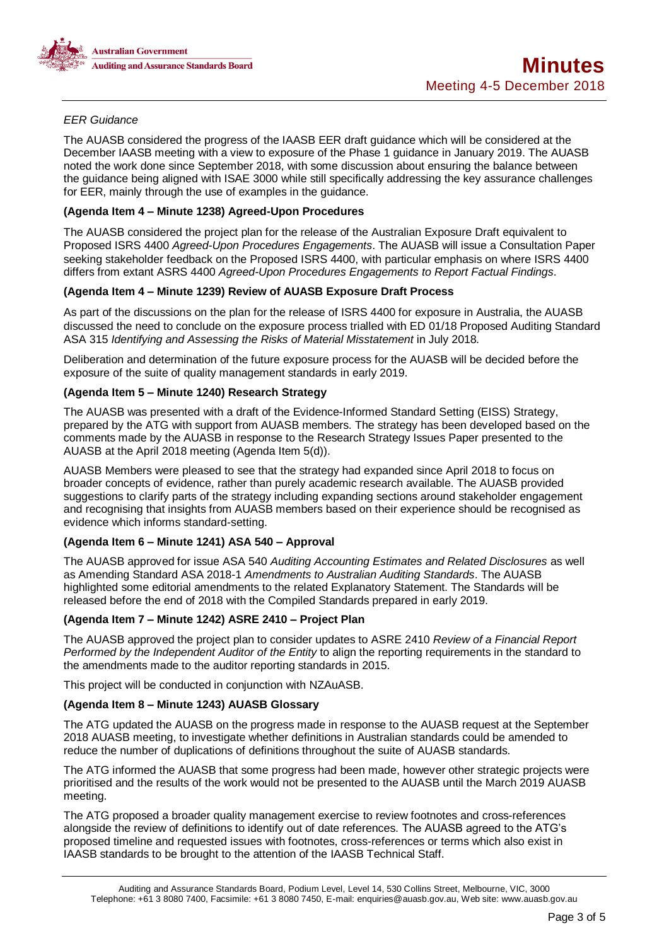

# *EER Guidance*

The AUASB considered the progress of the IAASB EER draft guidance which will be considered at the December IAASB meeting with a view to exposure of the Phase 1 guidance in January 2019. The AUASB noted the work done since September 2018, with some discussion about ensuring the balance between the guidance being aligned with ISAE 3000 while still specifically addressing the key assurance challenges for EER, mainly through the use of examples in the guidance.

# **(Agenda Item 4 – Minute 1238) Agreed-Upon Procedures**

The AUASB considered the project plan for the release of the Australian Exposure Draft equivalent to Proposed ISRS 4400 *Agreed-Upon Procedures Engagements*. The AUASB will issue a Consultation Paper seeking stakeholder feedback on the Proposed ISRS 4400, with particular emphasis on where ISRS 4400 differs from extant ASRS 4400 *Agreed-Upon Procedures Engagements to Report Factual Findings*.

## **(Agenda Item 4 – Minute 1239) Review of AUASB Exposure Draft Process**

As part of the discussions on the plan for the release of ISRS 4400 for exposure in Australia, the AUASB discussed the need to conclude on the exposure process trialled with ED 01/18 Proposed Auditing Standard ASA 315 *Identifying and Assessing the Risks of Material Misstatement* in July 2018*.*

Deliberation and determination of the future exposure process for the AUASB will be decided before the exposure of the suite of quality management standards in early 2019.

# **(Agenda Item 5 – Minute 1240) Research Strategy**

The AUASB was presented with a draft of the Evidence-Informed Standard Setting (EISS) Strategy, prepared by the ATG with support from AUASB members. The strategy has been developed based on the comments made by the AUASB in response to the Research Strategy Issues Paper presented to the AUASB at the April 2018 meeting (Agenda Item 5(d)).

AUASB Members were pleased to see that the strategy had expanded since April 2018 to focus on broader concepts of evidence, rather than purely academic research available. The AUASB provided suggestions to clarify parts of the strategy including expanding sections around stakeholder engagement and recognising that insights from AUASB members based on their experience should be recognised as evidence which informs standard-setting.

## **(Agenda Item 6 – Minute 1241) ASA 540 – Approval**

The AUASB approved for issue ASA 540 *Auditing Accounting Estimates and Related Disclosures* as well as Amending Standard ASA 2018-1 *Amendments to Australian Auditing Standards*. The AUASB highlighted some editorial amendments to the related Explanatory Statement. The Standards will be released before the end of 2018 with the Compiled Standards prepared in early 2019.

# **(Agenda Item 7 – Minute 1242) ASRE 2410 – Project Plan**

The AUASB approved the project plan to consider updates to ASRE 2410 *Review of a Financial Report Performed by the Independent Auditor of the Entity* to align the reporting requirements in the standard to the amendments made to the auditor reporting standards in 2015.

This project will be conducted in conjunction with NZAuASB.

## **(Agenda Item 8 – Minute 1243) AUASB Glossary**

The ATG updated the AUASB on the progress made in response to the AUASB request at the September 2018 AUASB meeting, to investigate whether definitions in Australian standards could be amended to reduce the number of duplications of definitions throughout the suite of AUASB standards.

The ATG informed the AUASB that some progress had been made, however other strategic projects were prioritised and the results of the work would not be presented to the AUASB until the March 2019 AUASB meeting.

The ATG proposed a broader quality management exercise to review footnotes and cross-references alongside the review of definitions to identify out of date references. The AUASB agreed to the ATG's proposed timeline and requested issues with footnotes, cross-references or terms which also exist in IAASB standards to be brought to the attention of the IAASB Technical Staff.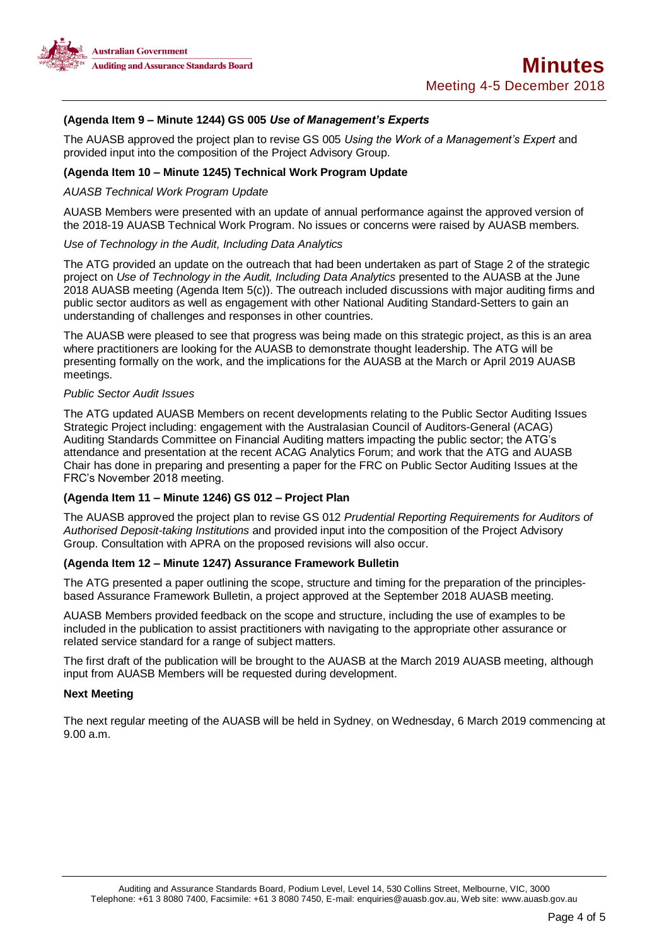

# **(Agenda Item 9 – Minute 1244) GS 005** *Use of Management's Experts*

The AUASB approved the project plan to revise GS 005 *Using the Work of a Management's Expert* and provided input into the composition of the Project Advisory Group.

#### **(Agenda Item 10 – Minute 1245) Technical Work Program Update**

#### *AUASB Technical Work Program Update*

AUASB Members were presented with an update of annual performance against the approved version of the 2018-19 AUASB Technical Work Program. No issues or concerns were raised by AUASB members.

#### *Use of Technology in the Audit, Including Data Analytics*

The ATG provided an update on the outreach that had been undertaken as part of Stage 2 of the strategic project on *Use of Technology in the Audit, Including Data Analytics* presented to the AUASB at the June 2018 AUASB meeting (Agenda Item 5(c)). The outreach included discussions with major auditing firms and public sector auditors as well as engagement with other National Auditing Standard-Setters to gain an understanding of challenges and responses in other countries.

The AUASB were pleased to see that progress was being made on this strategic project, as this is an area where practitioners are looking for the AUASB to demonstrate thought leadership. The ATG will be presenting formally on the work, and the implications for the AUASB at the March or April 2019 AUASB meetings.

## *Public Sector Audit Issues*

The ATG updated AUASB Members on recent developments relating to the Public Sector Auditing Issues Strategic Project including: engagement with the Australasian Council of Auditors-General (ACAG) Auditing Standards Committee on Financial Auditing matters impacting the public sector; the ATG's attendance and presentation at the recent ACAG Analytics Forum; and work that the ATG and AUASB Chair has done in preparing and presenting a paper for the FRC on Public Sector Auditing Issues at the FRC's November 2018 meeting.

# **(Agenda Item 11 – Minute 1246) GS 012 – Project Plan**

The AUASB approved the project plan to revise GS 012 *Prudential Reporting Requirements for Auditors of Authorised Deposit-taking Institutions* and provided input into the composition of the Project Advisory Group. Consultation with APRA on the proposed revisions will also occur.

## **(Agenda Item 12 – Minute 1247) Assurance Framework Bulletin**

The ATG presented a paper outlining the scope, structure and timing for the preparation of the principlesbased Assurance Framework Bulletin, a project approved at the September 2018 AUASB meeting.

AUASB Members provided feedback on the scope and structure, including the use of examples to be included in the publication to assist practitioners with navigating to the appropriate other assurance or related service standard for a range of subject matters.

The first draft of the publication will be brought to the AUASB at the March 2019 AUASB meeting, although input from AUASB Members will be requested during development.

## **Next Meeting**

The next regular meeting of the AUASB will be held in Sydney, on Wednesday, 6 March 2019 commencing at 9.00 a.m.